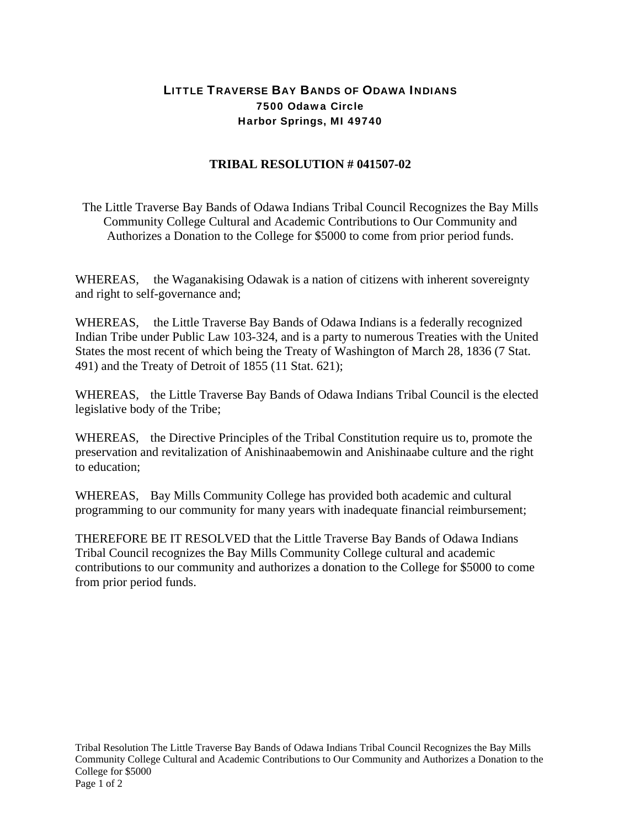## LITTLE TRAVERSE BAY BANDS OF ODAWA INDIANS 7500 Odawa Circle Harbor Springs, MI 49740

## **TRIBAL RESOLUTION # 041507-02**

The Little Traverse Bay Bands of Odawa Indians Tribal Council Recognizes the Bay Mills Community College Cultural and Academic Contributions to Our Community and Authorizes a Donation to the College for \$5000 to come from prior period funds.

WHEREAS, the Waganakising Odawak is a nation of citizens with inherent sovereignty and right to self-governance and;

WHEREAS, the Little Traverse Bay Bands of Odawa Indians is a federally recognized Indian Tribe under Public Law 103-324, and is a party to numerous Treaties with the United States the most recent of which being the Treaty of Washington of March 28, 1836 (7 Stat. 491) and the Treaty of Detroit of 1855 (11 Stat. 621);

WHEREAS, the Little Traverse Bay Bands of Odawa Indians Tribal Council is the elected legislative body of the Tribe;

WHEREAS, the Directive Principles of the Tribal Constitution require us to, promote the preservation and revitalization of Anishinaabemowin and Anishinaabe culture and the right to education;

WHEREAS, Bay Mills Community College has provided both academic and cultural programming to our community for many years with inadequate financial reimbursement;

THEREFORE BE IT RESOLVED that the Little Traverse Bay Bands of Odawa Indians Tribal Council recognizes the Bay Mills Community College cultural and academic contributions to our community and authorizes a donation to the College for \$5000 to come from prior period funds.